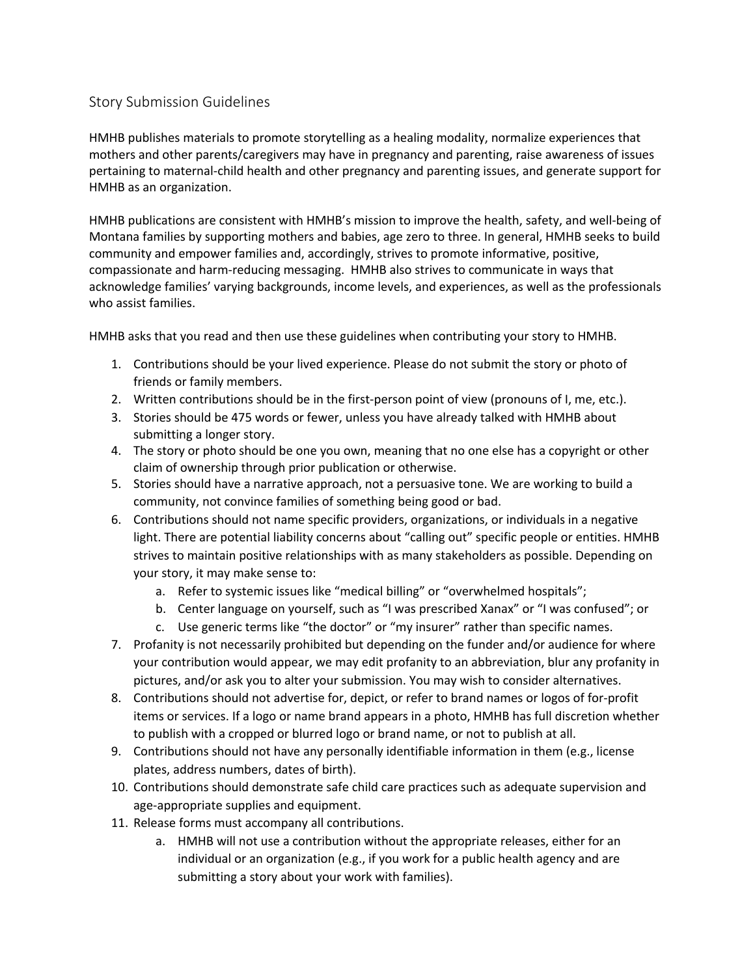## Story Submission Guidelines

HMHB publishes materials to promote storytelling as a healing modality, normalize experiences that mothers and other parents/caregivers may have in pregnancy and parenting, raise awareness of issues pertaining to maternal-child health and other pregnancy and parenting issues, and generate support for HMHB as an organization.

HMHB publications are consistent with HMHB's mission to improve the health, safety, and well-being of Montana families by supporting mothers and babies, age zero to three. In general, HMHB seeks to build community and empower families and, accordingly, strives to promote informative, positive, compassionate and harm-reducing messaging. HMHB also strives to communicate in ways that acknowledge families' varying backgrounds, income levels, and experiences, as well as the professionals who assist families.

HMHB asks that you read and then use these guidelines when contributing your story to HMHB.

- 1. Contributions should be your lived experience. Please do not submit the story or photo of friends or family members.
- 2. Written contributions should be in the first-person point of view (pronouns of I, me, etc.).
- 3. Stories should be 475 words or fewer, unless you have already talked with HMHB about submitting a longer story.
- 4. The story or photo should be one you own, meaning that no one else has a copyright or other claim of ownership through prior publication or otherwise.
- 5. Stories should have a narrative approach, not a persuasive tone. We are working to build a community, not convince families of something being good or bad.
- 6. Contributions should not name specific providers, organizations, or individuals in a negative light. There are potential liability concerns about "calling out" specific people or entities. HMHB strives to maintain positive relationships with as many stakeholders as possible. Depending on your story, it may make sense to:
	- a. Refer to systemic issues like "medical billing" or "overwhelmed hospitals";
	- b. Center language on yourself, such as "I was prescribed Xanax" or "I was confused"; or
	- c. Use generic terms like "the doctor" or "my insurer" rather than specific names.
- 7. Profanity is not necessarily prohibited but depending on the funder and/or audience for where your contribution would appear, we may edit profanity to an abbreviation, blur any profanity in pictures, and/or ask you to alter your submission. You may wish to consider alternatives.
- 8. Contributions should not advertise for, depict, or refer to brand names or logos of for-profit items or services. If a logo or name brand appears in a photo, HMHB has full discretion whether to publish with a cropped or blurred logo or brand name, or not to publish at all.
- 9. Contributions should not have any personally identifiable information in them (e.g., license plates, address numbers, dates of birth).
- 10. Contributions should demonstrate safe child care practices such as adequate supervision and age-appropriate supplies and equipment.
- 11. Release forms must accompany all contributions.
	- a. HMHB will not use a contribution without the appropriate releases, either for an individual or an organization (e.g., if you work for a public health agency and are submitting a story about your work with families).